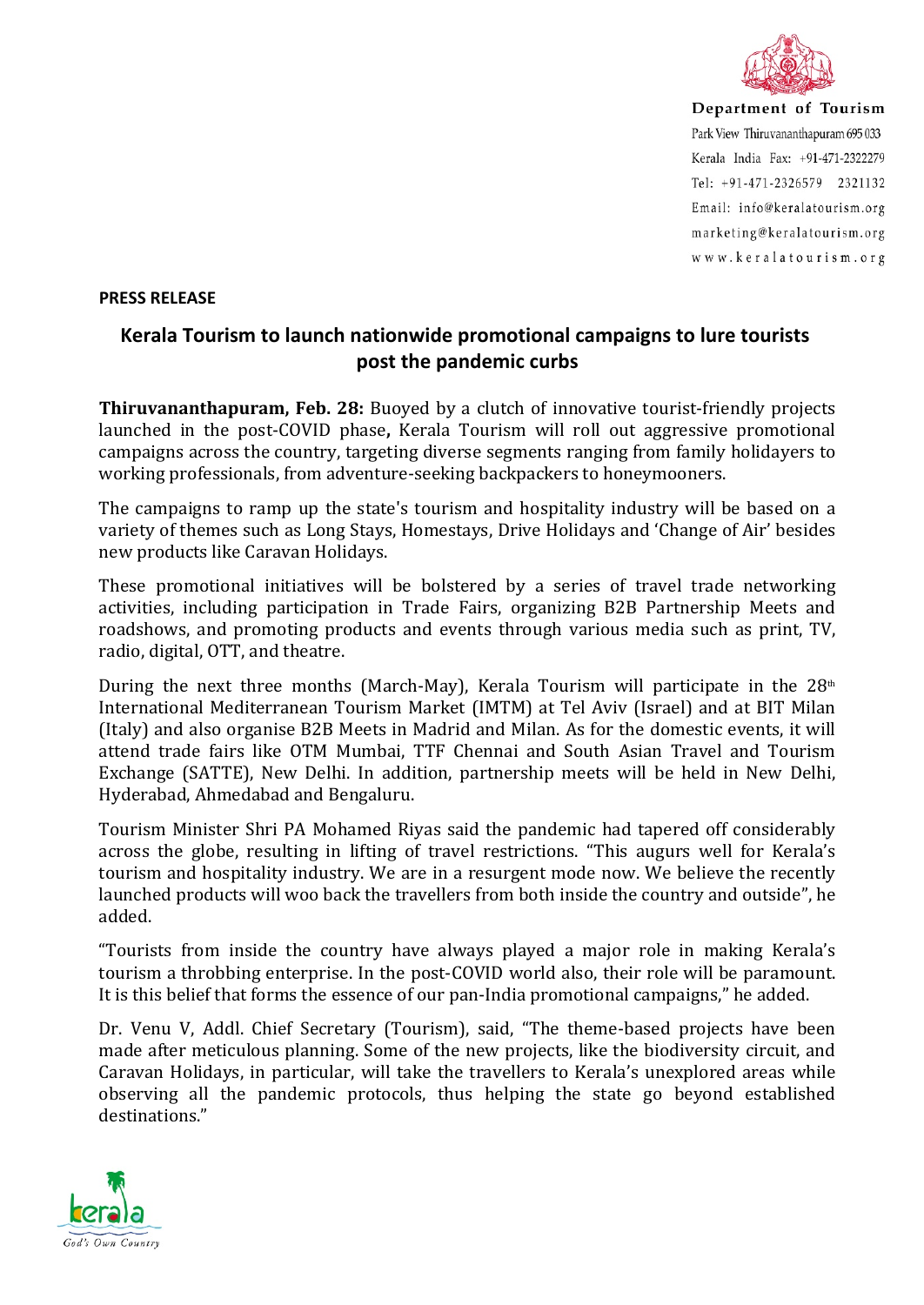

Department of Tourism Park View Thiruvananthapuram 695 033 Kerala India Fax: +91-471-2322279 Tel: +91-471-2326579 2321132 Email: info@keralatourism.org marketing@keralatourism.org www.keralatourism.org

## **PRESS RELEASE**

## **Kerala Tourism to launch nationwide promotional campaigns to lure tourists post the pandemic curbs**

**Thiruvananthapuram, Feb. 28:** Buoyed by a clutch of innovative tourist-friendly projects launched in the post-COVID phase**,** Kerala Tourism will roll out aggressive promotional campaigns across the country, targeting diverse segments ranging from family holidayers to working professionals, from adventure-seeking backpackers to honeymooners.

The campaigns to ramp up the state's tourism and hospitality industry will be based on a variety of themes such as Long Stays, Homestays, Drive Holidays and 'Change of Air' besides new products like Caravan Holidays.

These promotional initiatives will be bolstered by a series of travel trade networking activities, including participation in Trade Fairs, organizing B2B Partnership Meets and roadshows, and promoting products and events through various media such as print, TV, radio, digital, OTT, and theatre.

During the next three months (March-May), Kerala Tourism will participate in the  $28<sup>th</sup>$ International Mediterranean Tourism Market (IMTM) at Tel Aviv (Israel) and at BIT Milan (Italy) and also organise B2B Meets in Madrid and Milan. As for the domestic events, it will attend trade fairs like OTM Mumbai, TTF Chennai and South Asian Travel and Tourism Exchange (SATTE), New Delhi. In addition, partnership meets will be held in New Delhi, Hyderabad, Ahmedabad and Bengaluru.

Tourism Minister Shri PA Mohamed Riyas said the pandemic had tapered off considerably across the globe, resulting in lifting of travel restrictions. "This augurs well for Kerala's tourism and hospitality industry. We are in a resurgent mode now. We believe the recently launched products will woo back the travellers from both inside the country and outside", he added.

"Tourists from inside the country have always played a major role in making Kerala's tourism a throbbing enterprise. In the post-COVID world also, their role will be paramount. It is this belief that forms the essence of our pan-India promotional campaigns," he added.

Dr. Venu V, Addl. Chief Secretary (Tourism), said, "The theme-based projects have been made after meticulous planning. Some of the new projects, like the biodiversity circuit, and Caravan Holidays, in particular, will take the travellers to Kerala's unexplored areas while observing all the pandemic protocols, thus helping the state go beyond established destinations."